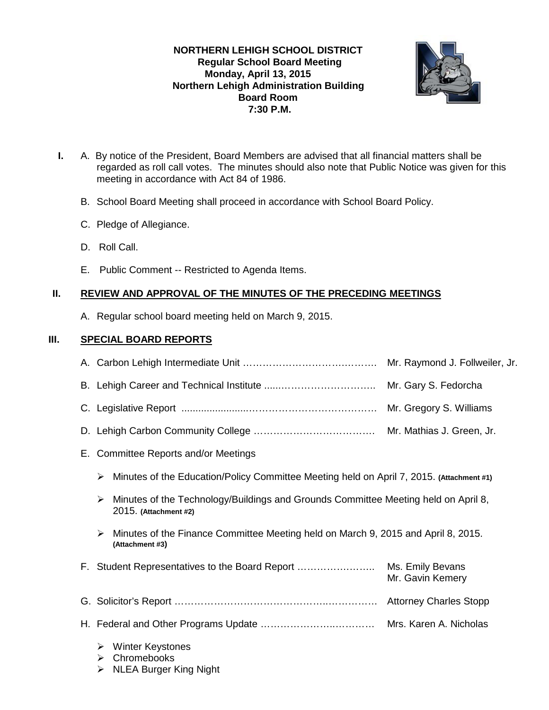## **NORTHERN LEHIGH SCHOOL DISTRICT Regular School Board Meeting Monday, April 13, 2015 Northern Lehigh Administration Building Board Room 7:30 P.M.**



- **I.** A. By notice of the President, Board Members are advised that all financial matters shall be regarded as roll call votes. The minutes should also note that Public Notice was given for this meeting in accordance with Act 84 of 1986.
	- B. School Board Meeting shall proceed in accordance with School Board Policy.
	- C. Pledge of Allegiance.
	- D. Roll Call.
	- E. Public Comment -- Restricted to Agenda Items.

## **II. REVIEW AND APPROVAL OF THE MINUTES OF THE PRECEDING MEETINGS**

A. Regular school board meeting held on March 9, 2015.

# **III. SPECIAL BOARD REPORTS**

|    | Mr. Raymond J. Follweiler, Jr.                                                                                   |                                                                                   |  |
|----|------------------------------------------------------------------------------------------------------------------|-----------------------------------------------------------------------------------|--|
|    |                                                                                                                  | Mr. Gary S. Fedorcha                                                              |  |
|    |                                                                                                                  |                                                                                   |  |
|    |                                                                                                                  |                                                                                   |  |
| Е. | Committee Reports and/or Meetings                                                                                |                                                                                   |  |
|    | Minutes of the Education/Policy Committee Meeting held on April 7, 2015. (Attachment #1)<br>➤                    |                                                                                   |  |
|    | Minutes of the Technology/Buildings and Grounds Committee Meeting held on April 8,<br>➤<br>2015. (Attachment #2) |                                                                                   |  |
|    | ➤<br>(Attachment #3)                                                                                             | Minutes of the Finance Committee Meeting held on March 9, 2015 and April 8, 2015. |  |
|    | Mr. Gavin Kemery                                                                                                 |                                                                                   |  |
|    |                                                                                                                  |                                                                                   |  |
|    |                                                                                                                  |                                                                                   |  |
|    | <b>Winter Keystones</b><br>➤<br>Chromebooks<br>➤<br><b>NLEA Burger King Night</b><br>➤                           |                                                                                   |  |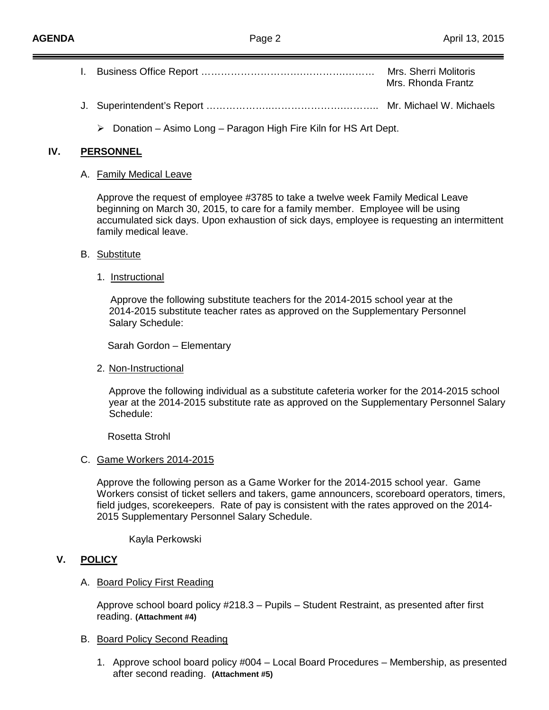- I. Business Office Report ………………………….………….……… Mrs. Sherri Molitoris Mrs. Rhonda Frantz
	- J. Superintendent's Report ………………..………………….……….. Mr. Michael W. Michaels
		- $\triangleright$  Donation Asimo Long Paragon High Fire Kiln for HS Art Dept.

#### **IV. PERSONNEL**

#### A. <u>Family Medical Leave</u>

Approve the request of employee #3785 to take a twelve week Family Medical Leave beginning on March 30, 2015, to care for a family member. Employee will be using accumulated sick days. Upon exhaustion of sick days, employee is requesting an intermittent family medical leave.

## B. <u>Substitute</u>

1. Instructional

Approve the following substitute teachers for the 2014-2015 school year at the 2014-2015 substitute teacher rates as approved on the Supplementary Personnel Salary Schedule:

Sarah Gordon – Elementary

2. <u>Non-Instructional</u>

Approve the following individual as a substitute cafeteria worker for the 2014-2015 school year at the 2014-2015 substitute rate as approved on the Supplementary Personnel Salary Schedule:

Rosetta Strohl

## C. Game Workers 2014-2015

Approve the following person as a Game Worker for the 2014-2015 school year. Game Workers consist of ticket sellers and takers, game announcers, scoreboard operators, timers, field judges, scorekeepers. Rate of pay is consistent with the rates approved on the 2014- 2015 Supplementary Personnel Salary Schedule.

Kayla Perkowski

## **V. POLICY**

## A. <u>Board Policy First Reading</u>

Approve school board policy #218.3 – Pupils – Student Restraint, as presented after first reading. **(Attachment #4)**

## B. Board Policy Second Reading

1. Approve school board policy #004 – Local Board Procedures – Membership, as presented after second reading. **(Attachment #5)**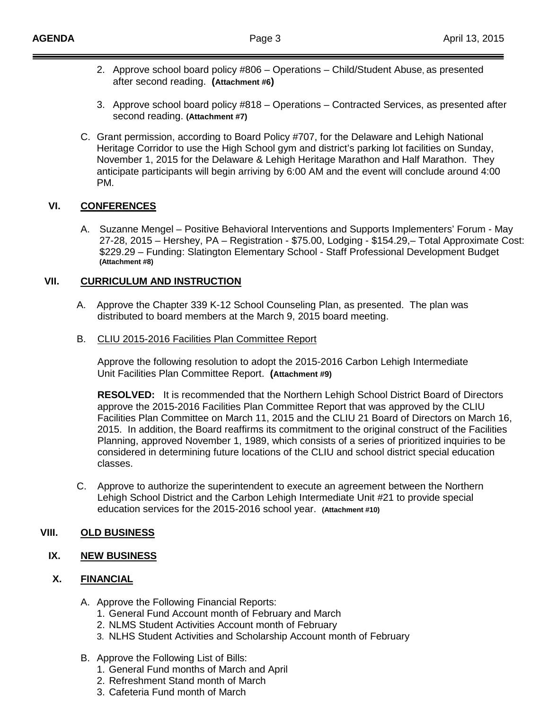- 2. Approve school board policy #806 Operations Child/Student Abuse, as presented after second reading. **(Attachment #6)**
- 3. Approve school board policy #818 Operations Contracted Services, as presented after second reading. **(Attachment #7)**
- C. Grant permission, according to Board Policy #707, for the Delaware and Lehigh National Heritage Corridor to use the High School gym and district's parking lot facilities on Sunday, November 1, 2015 for the Delaware & Lehigh Heritage Marathon and Half Marathon. They anticipate participants will begin arriving by 6:00 AM and the event will conclude around 4:00 PM.

## **VI. CONFERENCES**

A. Suzanne Mengel – Positive Behavioral Interventions and Supports Implementers' Forum - May 27-28, 2015 – Hershey, PA – Registration - \$75.00, Lodging - \$154.29,– Total Approximate Cost: \$229.29 – Funding: Slatington Elementary School - Staff Professional Development Budget **(Attachment #8)**

#### **VII. CURRICULUM AND INSTRUCTION**

- A. Approve the Chapter 339 K-12 School Counseling Plan, as presented. The plan was distributed to board members at the March 9, 2015 board meeting.
- B. CLIU 2015-2016 Facilities Plan Committee Report

Approve the following resolution to adopt the 2015-2016 Carbon Lehigh Intermediate Unit Facilities Plan Committee Report. **(Attachment #9)**

**RESOLVED:** It is recommended that the Northern Lehigh School District Board of Directors approve the 2015-2016 Facilities Plan Committee Report that was approved by the CLIU Facilities Plan Committee on March 11, 2015 and the CLIU 21 Board of Directors on March 16, 2015. In addition, the Board reaffirms its commitment to the original construct of the Facilities Planning, approved November 1, 1989, which consists of a series of prioritized inquiries to be considered in determining future locations of the CLIU and school district special education classes.

C. Approve to authorize the superintendent to execute an agreement between the Northern Lehigh School District and the Carbon Lehigh Intermediate Unit #21 to provide special education services for the 2015-2016 school year. **(Attachment #10)**

## **VIII. OLD BUSINESS**

## **IX. NEW BUSINESS**

#### **X. FINANCIAL**

- A. Approve the Following Financial Reports:
	- 1. General Fund Account month of February and March
	- 2. NLMS Student Activities Account month of February
	- 3. NLHS Student Activities and Scholarship Account month of February
- B. Approve the Following List of Bills:
	- 1. General Fund months of March and April
	- 2. Refreshment Stand month of March
	- 3. Cafeteria Fund month of March